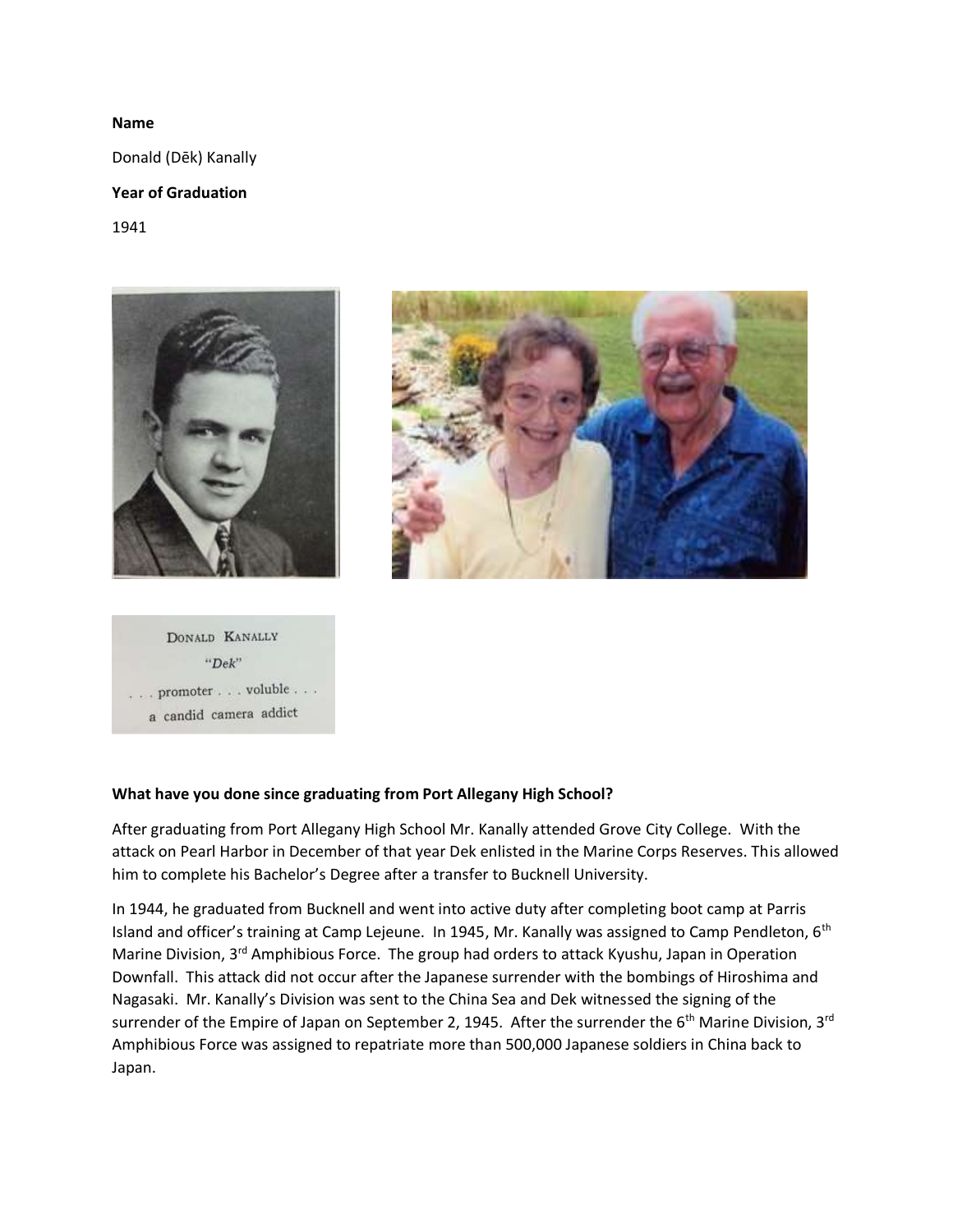### **Name**

Donald (Dēk) Kanally

# **Year of Graduation**

1941



DONALD KANALLY  $"Dek"$  $\ldots$  , promoter  $\ldots$  , voluble  $\ldots$  . a candid camera addict



# **What have you done since graduating from Port Allegany High School?**

After graduating from Port Allegany High School Mr. Kanally attended Grove City College. With the attack on Pearl Harbor in December of that year Dek enlisted in the Marine Corps Reserves. This allowed him to complete his Bachelor's Degree after a transfer to Bucknell University.

In 1944, he graduated from Bucknell and went into active duty after completing boot camp at Parris Island and officer's training at Camp Lejeune. In 1945, Mr. Kanally was assigned to Camp Pendleton, 6<sup>th</sup> Marine Division, 3<sup>rd</sup> Amphibious Force. The group had orders to attack Kyushu, Japan in Operation Downfall. This attack did not occur after the Japanese surrender with the bombings of Hiroshima and Nagasaki. Mr. Kanally's Division was sent to the China Sea and Dek witnessed the signing of the surrender of the Empire of Japan on September 2, 1945. After the surrender the 6<sup>th</sup> Marine Division, 3<sup>rd</sup> Amphibious Force was assigned to repatriate more than 500,000 Japanese soldiers in China back to Japan.